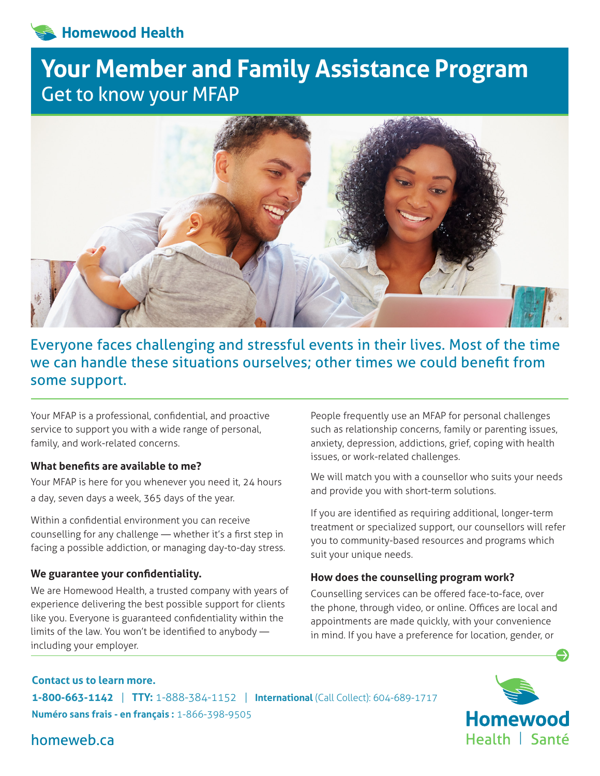# **Homewood Health**

# **Your Member and Family Assistance Program** Get to know your MFAP



# Everyone faces challenging and stressful events in their lives. Most of the time we can handle these situations ourselves; other times we could benefit from some support.

Your MFAP is a professional, confidential, and proactive service to support you with a wide range of personal, family, and work-related concerns.

# **What benefits are available to me?**

Your MFAP is here for you whenever you need it, 24 hours a day, seven days a week, 365 days of the year.

Within a confidential environment you can receive counselling for any challenge — whether it's a first step in facing a possible addiction, or managing day-to-day stress.

# **We guarantee your confidentiality.**

We are Homewood Health, a trusted company with years of experience delivering the best possible support for clients like you. Everyone is guaranteed confidentiality within the limits of the law. You won't be identified to anybody including your employer.

People frequently use an MFAP for personal challenges such as relationship concerns, family or parenting issues, anxiety, depression, addictions, grief, coping with health issues, or work-related challenges.

We will match you with a counsellor who suits your needs and provide you with short-term solutions.

If you are identified as requiring additional, longer-term treatment or specialized support, our counsellors will refer you to community-based resources and programs which suit your unique needs.

# **How does the counselling program work?**

Counselling services can be offered face-to-face, over the phone, through video, or online. Offices are local and appointments are made quickly, with your convenience in mind. If you have a preference for location, gender, or

# **Contact us to learn more. 1-800-663-1142** | **TTY:** 1-888-384-1152 | **International** (Call Collect): 604-689-1717 **Numéro sans frais - en français :** 1-866-398-9505



homeweb.ca